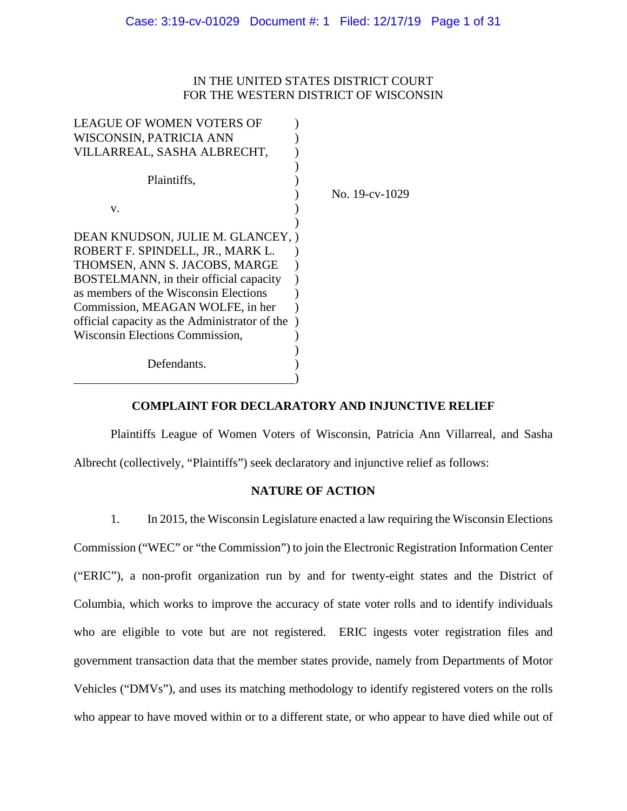# IN THE UNITED STATES DISTRICT COURT FOR THE WESTERN DISTRICT OF WISCONSIN

| LEAGUE OF WOMEN VOTERS OF                     |                |
|-----------------------------------------------|----------------|
| WISCONSIN, PATRICIA ANN                       |                |
| VILLARREAL, SASHA ALBRECHT,                   |                |
|                                               |                |
| Plaintiffs,                                   |                |
|                                               | No. 19-cv-1029 |
| V.                                            |                |
|                                               |                |
| DEAN KNUDSON, JULIE M. GLANCEY, )             |                |
| ROBERT F. SPINDELL, JR., MARK L.              |                |
| THOMSEN, ANN S. JACOBS, MARGE                 |                |
| BOSTELMANN, in their official capacity        |                |
| as members of the Wisconsin Elections         |                |
| Commission, MEAGAN WOLFE, in her              |                |
| official capacity as the Administrator of the |                |
| Wisconsin Elections Commission,               |                |
|                                               |                |
| Defendants.                                   |                |
|                                               |                |

# **COMPLAINT FOR DECLARATORY AND INJUNCTIVE RELIEF**

Plaintiffs League of Women Voters of Wisconsin, Patricia Ann Villarreal, and Sasha Albrecht (collectively, "Plaintiffs") seek declaratory and injunctive relief as follows:

# **NATURE OF ACTION**

1. In 2015, the Wisconsin Legislature enacted a law requiring the Wisconsin Elections Commission ("WEC" or "the Commission") to join the Electronic Registration Information Center ("ERIC"), a non-profit organization run by and for twenty-eight states and the District of Columbia, which works to improve the accuracy of state voter rolls and to identify individuals who are eligible to vote but are not registered. ERIC ingests voter registration files and government transaction data that the member states provide, namely from Departments of Motor Vehicles ("DMVs"), and uses its matching methodology to identify registered voters on the rolls who appear to have moved within or to a different state, or who appear to have died while out of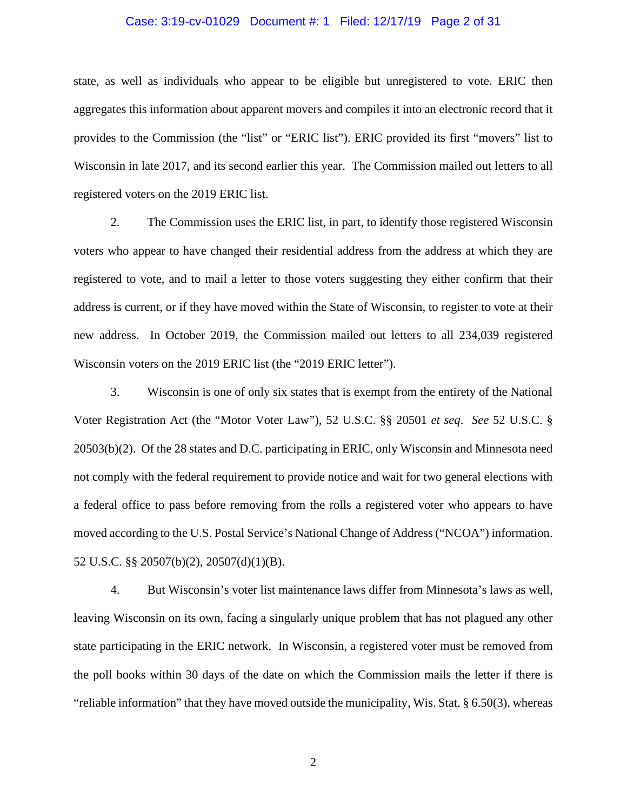#### Case: 3:19-cv-01029 Document #: 1 Filed: 12/17/19 Page 2 of 31

state, as well as individuals who appear to be eligible but unregistered to vote. ERIC then aggregates this information about apparent movers and compiles it into an electronic record that it provides to the Commission (the "list" or "ERIC list"). ERIC provided its first "movers" list to Wisconsin in late 2017, and its second earlier this year. The Commission mailed out letters to all registered voters on the 2019 ERIC list.

2. The Commission uses the ERIC list, in part, to identify those registered Wisconsin voters who appear to have changed their residential address from the address at which they are registered to vote, and to mail a letter to those voters suggesting they either confirm that their address is current, or if they have moved within the State of Wisconsin, to register to vote at their new address. In October 2019, the Commission mailed out letters to all 234,039 registered Wisconsin voters on the 2019 ERIC list (the "2019 ERIC letter").

3. Wisconsin is one of only six states that is exempt from the entirety of the National Voter Registration Act (the "Motor Voter Law"), 52 U.S.C. §§ 20501 *et seq*. *See* 52 U.S.C. § 20503(b)(2). Of the 28 states and D.C. participating in ERIC, only Wisconsin and Minnesota need not comply with the federal requirement to provide notice and wait for two general elections with a federal office to pass before removing from the rolls a registered voter who appears to have moved according to the U.S. Postal Service's National Change of Address ("NCOA") information. 52 U.S.C. §§ 20507(b)(2), 20507(d)(1)(B).

4. But Wisconsin's voter list maintenance laws differ from Minnesota's laws as well, leaving Wisconsin on its own, facing a singularly unique problem that has not plagued any other state participating in the ERIC network. In Wisconsin, a registered voter must be removed from the poll books within 30 days of the date on which the Commission mails the letter if there is "reliable information" that they have moved outside the municipality, Wis. Stat. § 6.50(3), whereas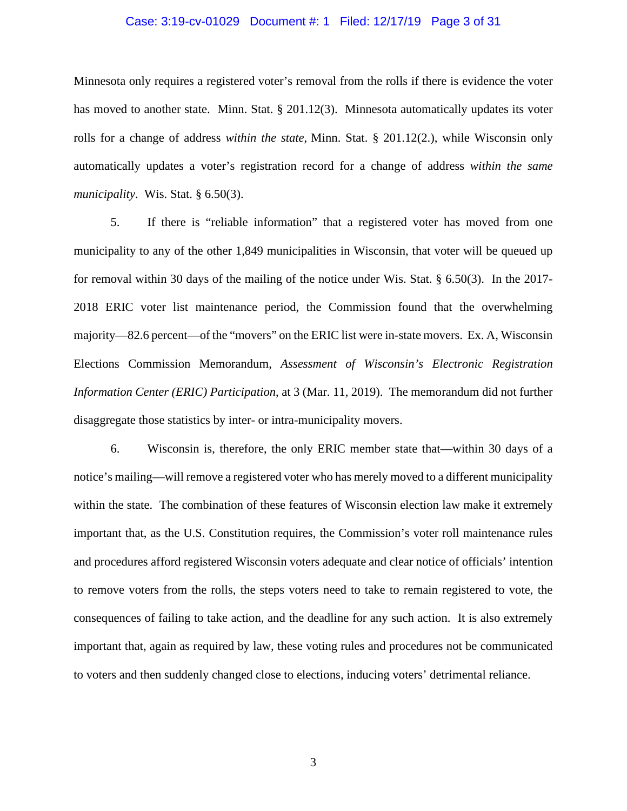#### Case: 3:19-cv-01029 Document #: 1 Filed: 12/17/19 Page 3 of 31

Minnesota only requires a registered voter's removal from the rolls if there is evidence the voter has moved to another state. Minn. Stat. § 201.12(3). Minnesota automatically updates its voter rolls for a change of address *within the state*, Minn. Stat. § 201.12(2.), while Wisconsin only automatically updates a voter's registration record for a change of address *within the same municipality*. Wis. Stat. § 6.50(3).

5. If there is "reliable information" that a registered voter has moved from one municipality to any of the other 1,849 municipalities in Wisconsin, that voter will be queued up for removal within 30 days of the mailing of the notice under Wis. Stat. § 6.50(3). In the 2017- 2018 ERIC voter list maintenance period, the Commission found that the overwhelming majority—82.6 percent—of the "movers" on the ERIC list were in-state movers. Ex. A, Wisconsin Elections Commission Memorandum, *Assessment of Wisconsin's Electronic Registration Information Center (ERIC) Participation*, at 3 (Mar. 11, 2019). The memorandum did not further disaggregate those statistics by inter- or intra-municipality movers.

6. Wisconsin is, therefore, the only ERIC member state that—within 30 days of a notice's mailing—will remove a registered voter who has merely moved to a different municipality within the state. The combination of these features of Wisconsin election law make it extremely important that, as the U.S. Constitution requires, the Commission's voter roll maintenance rules and procedures afford registered Wisconsin voters adequate and clear notice of officials' intention to remove voters from the rolls, the steps voters need to take to remain registered to vote, the consequences of failing to take action, and the deadline for any such action. It is also extremely important that, again as required by law, these voting rules and procedures not be communicated to voters and then suddenly changed close to elections, inducing voters' detrimental reliance.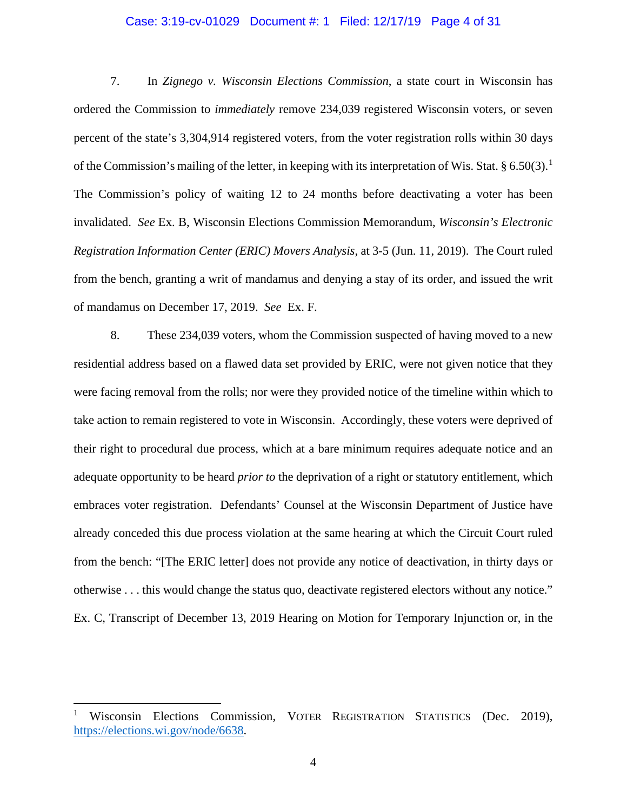#### Case: 3:19-cv-01029 Document #: 1 Filed: 12/17/19 Page 4 of 31

7. In *Zignego v. Wisconsin Elections Commission*, a state court in Wisconsin has ordered the Commission to *immediately* remove 234,039 registered Wisconsin voters, or seven percent of the state's 3,304,914 registered voters, from the voter registration rolls within 30 days of the Commission's mailing of the letter, in keeping with its interpretation of Wis. Stat. § 6.50(3).<sup>[1](#page-3-0)</sup> The Commission's policy of waiting 12 to 24 months before deactivating a voter has been invalidated. *See* Ex. B, Wisconsin Elections Commission Memorandum, *Wisconsin's Electronic Registration Information Center (ERIC) Movers Analysis*, at 3-5 (Jun. 11, 2019). The Court ruled from the bench, granting a writ of mandamus and denying a stay of its order, and issued the writ of mandamus on December 17, 2019. *See* Ex. F.

8. These 234,039 voters, whom the Commission suspected of having moved to a new residential address based on a flawed data set provided by ERIC, were not given notice that they were facing removal from the rolls; nor were they provided notice of the timeline within which to take action to remain registered to vote in Wisconsin. Accordingly, these voters were deprived of their right to procedural due process, which at a bare minimum requires adequate notice and an adequate opportunity to be heard *prior to* the deprivation of a right or statutory entitlement, which embraces voter registration. Defendants' Counsel at the Wisconsin Department of Justice have already conceded this due process violation at the same hearing at which the Circuit Court ruled from the bench: "[The ERIC letter] does not provide any notice of deactivation, in thirty days or otherwise . . . this would change the status quo, deactivate registered electors without any notice." Ex. C, Transcript of December 13, 2019 Hearing on Motion for Temporary Injunction or, in the

<span id="page-3-0"></span><sup>1</sup> Wisconsin Elections Commission, VOTER REGISTRATION STATISTICS (Dec. 2019), [https://elections.wi.gov/node/6638.](https://elections.wi.gov/node/6638)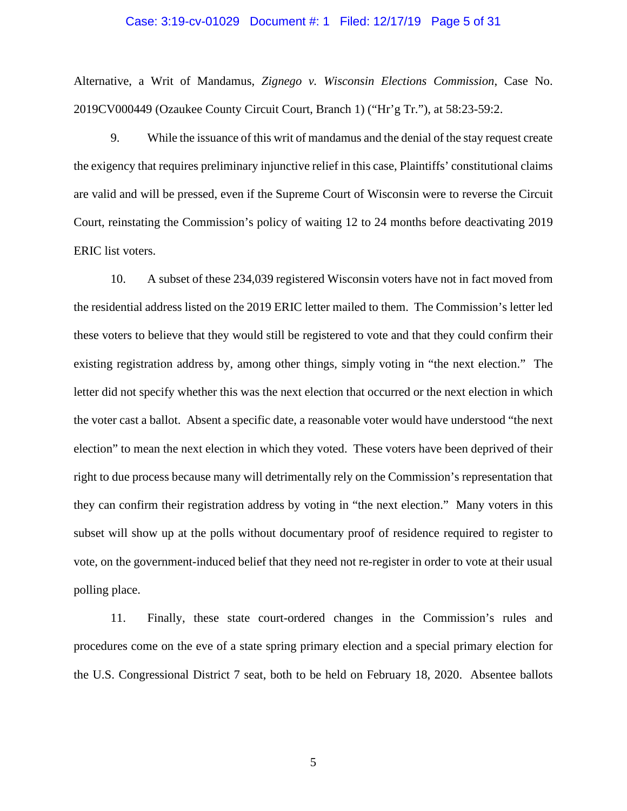#### Case: 3:19-cv-01029 Document #: 1 Filed: 12/17/19 Page 5 of 31

Alternative, a Writ of Mandamus, *Zignego v. Wisconsin Elections Commission*, Case No. 2019CV000449 (Ozaukee County Circuit Court, Branch 1) ("Hr'g Tr."), at 58:23-59:2.

9. While the issuance of this writ of mandamus and the denial of the stay request create the exigency that requires preliminary injunctive relief in this case, Plaintiffs' constitutional claims are valid and will be pressed, even if the Supreme Court of Wisconsin were to reverse the Circuit Court, reinstating the Commission's policy of waiting 12 to 24 months before deactivating 2019 ERIC list voters.

10. A subset of these 234,039 registered Wisconsin voters have not in fact moved from the residential address listed on the 2019 ERIC letter mailed to them. The Commission's letter led these voters to believe that they would still be registered to vote and that they could confirm their existing registration address by, among other things, simply voting in "the next election." The letter did not specify whether this was the next election that occurred or the next election in which the voter cast a ballot. Absent a specific date, a reasonable voter would have understood "the next election" to mean the next election in which they voted. These voters have been deprived of their right to due process because many will detrimentally rely on the Commission's representation that they can confirm their registration address by voting in "the next election." Many voters in this subset will show up at the polls without documentary proof of residence required to register to vote, on the government-induced belief that they need not re-register in order to vote at their usual polling place.

11. Finally, these state court-ordered changes in the Commission's rules and procedures come on the eve of a state spring primary election and a special primary election for the U.S. Congressional District 7 seat, both to be held on February 18, 2020. Absentee ballots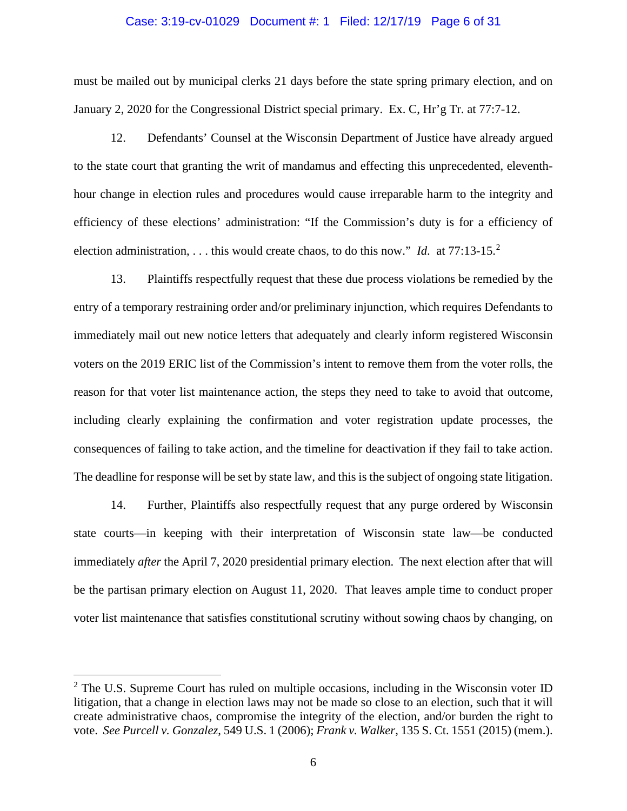#### Case: 3:19-cv-01029 Document #: 1 Filed: 12/17/19 Page 6 of 31

must be mailed out by municipal clerks 21 days before the state spring primary election, and on January 2, 2020 for the Congressional District special primary. Ex. C, Hr'g Tr. at 77:7-12.

12. Defendants' Counsel at the Wisconsin Department of Justice have already argued to the state court that granting the writ of mandamus and effecting this unprecedented, eleventhhour change in election rules and procedures would cause irreparable harm to the integrity and efficiency of these elections' administration: "If the Commission's duty is for a efficiency of election administration, . . . this would create chaos, to do this now." *Id.* at 77:13-15.<sup>[2](#page-5-0)</sup>

13. Plaintiffs respectfully request that these due process violations be remedied by the entry of a temporary restraining order and/or preliminary injunction, which requires Defendants to immediately mail out new notice letters that adequately and clearly inform registered Wisconsin voters on the 2019 ERIC list of the Commission's intent to remove them from the voter rolls, the reason for that voter list maintenance action, the steps they need to take to avoid that outcome, including clearly explaining the confirmation and voter registration update processes, the consequences of failing to take action, and the timeline for deactivation if they fail to take action. The deadline for response will be set by state law, and this is the subject of ongoing state litigation.

14. Further, Plaintiffs also respectfully request that any purge ordered by Wisconsin state courts—in keeping with their interpretation of Wisconsin state law—be conducted immediately *after* the April 7, 2020 presidential primary election. The next election after that will be the partisan primary election on August 11, 2020. That leaves ample time to conduct proper voter list maintenance that satisfies constitutional scrutiny without sowing chaos by changing, on

<span id="page-5-0"></span> $2$  The U.S. Supreme Court has ruled on multiple occasions, including in the Wisconsin voter ID litigation, that a change in election laws may not be made so close to an election, such that it will create administrative chaos, compromise the integrity of the election, and/or burden the right to vote. *See Purcell v. Gonzalez*, 549 U.S. 1 (2006); *Frank v. Walker*, 135 S. Ct. 1551 (2015) (mem.).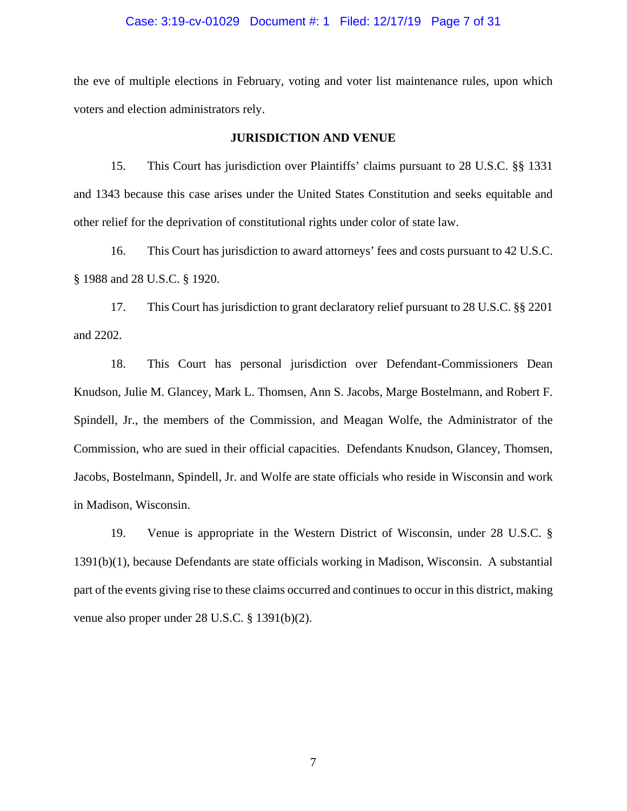#### Case: 3:19-cv-01029 Document #: 1 Filed: 12/17/19 Page 7 of 31

the eve of multiple elections in February, voting and voter list maintenance rules, upon which voters and election administrators rely.

#### **JURISDICTION AND VENUE**

15. This Court has jurisdiction over Plaintiffs' claims pursuant to 28 U.S.C. §§ 1331 and 1343 because this case arises under the United States Constitution and seeks equitable and other relief for the deprivation of constitutional rights under color of state law.

16. This Court has jurisdiction to award attorneys' fees and costs pursuant to 42 U.S.C. § 1988 and 28 U.S.C. § 1920.

17. This Court has jurisdiction to grant declaratory relief pursuant to 28 U.S.C. §§ 2201 and 2202.

18. This Court has personal jurisdiction over Defendant-Commissioners Dean Knudson, Julie M. Glancey, Mark L. Thomsen, Ann S. Jacobs, Marge Bostelmann, and Robert F. Spindell, Jr., the members of the Commission, and Meagan Wolfe, the Administrator of the Commission, who are sued in their official capacities. Defendants Knudson, Glancey, Thomsen, Jacobs, Bostelmann, Spindell, Jr. and Wolfe are state officials who reside in Wisconsin and work in Madison, Wisconsin.

19. Venue is appropriate in the Western District of Wisconsin, under 28 U.S.C. § 1391(b)(1), because Defendants are state officials working in Madison, Wisconsin. A substantial part of the events giving rise to these claims occurred and continues to occur in this district, making venue also proper under 28 U.S.C. § 1391(b)(2).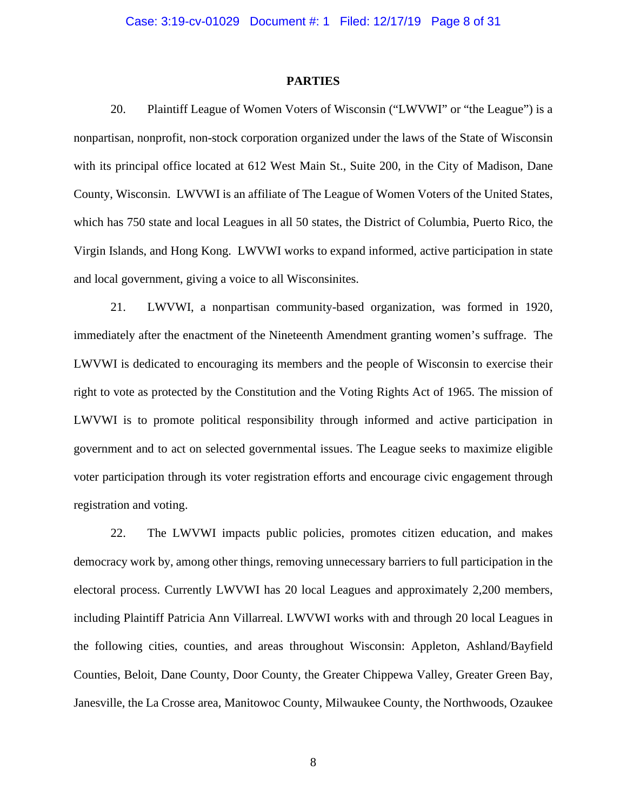#### **PARTIES**

20. Plaintiff League of Women Voters of Wisconsin ("LWVWI" or "the League") is a nonpartisan, nonprofit, non-stock corporation organized under the laws of the State of Wisconsin with its principal office located at 612 West Main St., Suite 200, in the City of Madison, Dane County, Wisconsin. LWVWI is an affiliate of The League of Women Voters of the United States, which has 750 state and local Leagues in all 50 states, the District of Columbia, Puerto Rico, the Virgin Islands, and Hong Kong. LWVWI works to expand informed, active participation in state and local government, giving a voice to all Wisconsinites.

21. LWVWI, a nonpartisan community-based organization, was formed in 1920, immediately after the enactment of the Nineteenth Amendment granting women's suffrage. The LWVWI is dedicated to encouraging its members and the people of Wisconsin to exercise their right to vote as protected by the Constitution and the Voting Rights Act of 1965. The mission of LWVWI is to promote political responsibility through informed and active participation in government and to act on selected governmental issues. The League seeks to maximize eligible voter participation through its voter registration efforts and encourage civic engagement through registration and voting.

22. The LWVWI impacts public policies, promotes citizen education, and makes democracy work by, among other things, removing unnecessary barriers to full participation in the electoral process. Currently LWVWI has 20 local Leagues and approximately 2,200 members, including Plaintiff Patricia Ann Villarreal. LWVWI works with and through 20 local Leagues in the following cities, counties, and areas throughout Wisconsin: Appleton, Ashland/Bayfield Counties, Beloit, Dane County, Door County, the Greater Chippewa Valley, Greater Green Bay, Janesville, the La Crosse area, Manitowoc County, Milwaukee County, the Northwoods, Ozaukee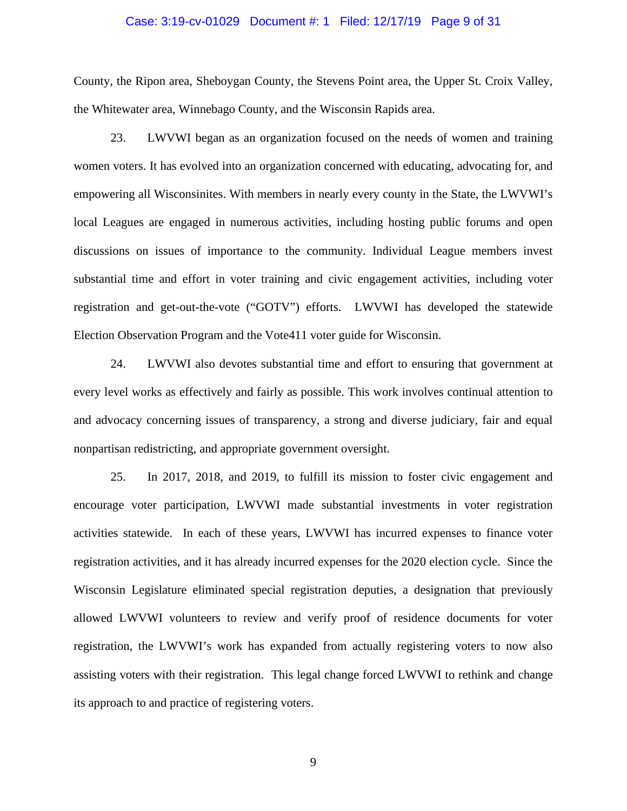#### Case: 3:19-cv-01029 Document #: 1 Filed: 12/17/19 Page 9 of 31

County, the Ripon area, Sheboygan County, the Stevens Point area, the Upper St. Croix Valley, the Whitewater area, Winnebago County, and the Wisconsin Rapids area.

23. LWVWI began as an organization focused on the needs of women and training women voters. It has evolved into an organization concerned with educating, advocating for, and empowering all Wisconsinites. With members in nearly every county in the State, the LWVWI's local Leagues are engaged in numerous activities, including hosting public forums and open discussions on issues of importance to the community. Individual League members invest substantial time and effort in voter training and civic engagement activities, including voter registration and get-out-the-vote ("GOTV") efforts. LWVWI has developed the statewide Election Observation Program and the Vote411 voter guide for Wisconsin.

24. LWVWI also devotes substantial time and effort to ensuring that government at every level works as effectively and fairly as possible. This work involves continual attention to and advocacy concerning issues of transparency, a strong and diverse judiciary, fair and equal nonpartisan redistricting, and appropriate government oversight.

25. In 2017, 2018, and 2019, to fulfill its mission to foster civic engagement and encourage voter participation, LWVWI made substantial investments in voter registration activities statewide. In each of these years, LWVWI has incurred expenses to finance voter registration activities, and it has already incurred expenses for the 2020 election cycle. Since the Wisconsin Legislature eliminated special registration deputies, a designation that previously allowed LWVWI volunteers to review and verify proof of residence documents for voter registration, the LWVWI's work has expanded from actually registering voters to now also assisting voters with their registration. This legal change forced LWVWI to rethink and change its approach to and practice of registering voters.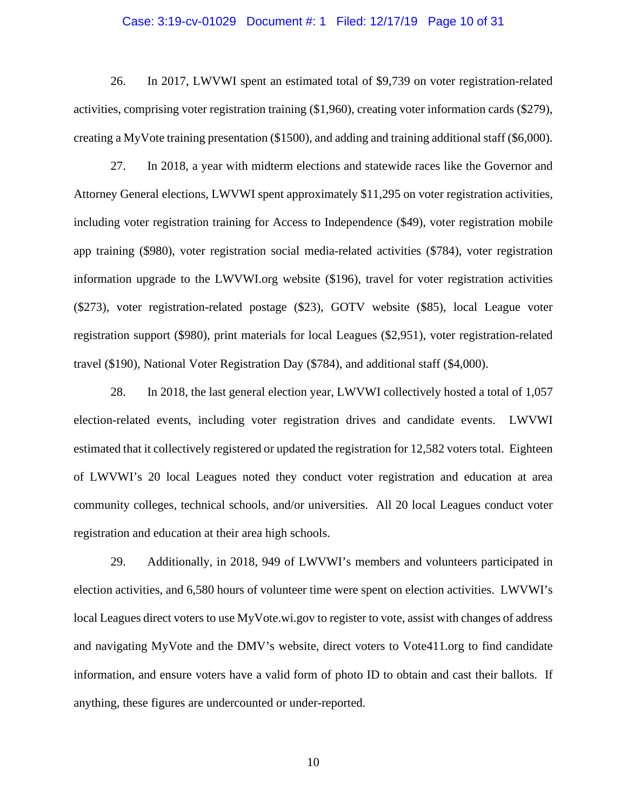#### Case: 3:19-cv-01029 Document #: 1 Filed: 12/17/19 Page 10 of 31

26. In 2017, LWVWI spent an estimated total of \$9,739 on voter registration-related activities, comprising voter registration training (\$1,960), creating voter information cards (\$279), creating a MyVote training presentation (\$1500), and adding and training additional staff (\$6,000).

27. In 2018, a year with midterm elections and statewide races like the Governor and Attorney General elections, LWVWI spent approximately \$11,295 on voter registration activities, including voter registration training for Access to Independence (\$49), voter registration mobile app training (\$980), voter registration social media-related activities (\$784), voter registration information upgrade to the LWVWI.org website (\$196), travel for voter registration activities (\$273), voter registration-related postage (\$23), GOTV website (\$85), local League voter registration support (\$980), print materials for local Leagues (\$2,951), voter registration-related travel (\$190), National Voter Registration Day (\$784), and additional staff (\$4,000).

28. In 2018, the last general election year, LWVWI collectively hosted a total of 1,057 election-related events, including voter registration drives and candidate events. LWVWI estimated that it collectively registered or updated the registration for 12,582 voters total. Eighteen of LWVWI's 20 local Leagues noted they conduct voter registration and education at area community colleges, technical schools, and/or universities. All 20 local Leagues conduct voter registration and education at their area high schools.

29. Additionally, in 2018, 949 of LWVWI's members and volunteers participated in election activities, and 6,580 hours of volunteer time were spent on election activities. LWVWI's local Leagues direct voters to use MyVote.wi.gov to register to vote, assist with changes of address and navigating MyVote and the DMV's website, direct voters to Vote411.org to find candidate information, and ensure voters have a valid form of photo ID to obtain and cast their ballots. If anything, these figures are undercounted or under-reported.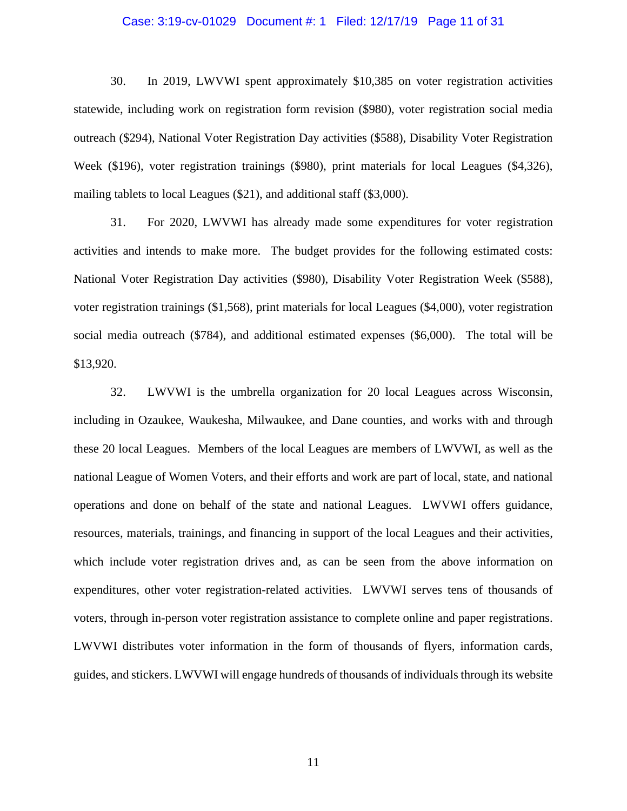#### Case: 3:19-cv-01029 Document #: 1 Filed: 12/17/19 Page 11 of 31

30. In 2019, LWVWI spent approximately \$10,385 on voter registration activities statewide, including work on registration form revision (\$980), voter registration social media outreach (\$294), National Voter Registration Day activities (\$588), Disability Voter Registration Week (\$196), voter registration trainings (\$980), print materials for local Leagues (\$4,326), mailing tablets to local Leagues (\$21), and additional staff (\$3,000).

31. For 2020, LWVWI has already made some expenditures for voter registration activities and intends to make more. The budget provides for the following estimated costs: National Voter Registration Day activities (\$980), Disability Voter Registration Week (\$588), voter registration trainings (\$1,568), print materials for local Leagues (\$4,000), voter registration social media outreach (\$784), and additional estimated expenses (\$6,000). The total will be \$13,920.

32. LWVWI is the umbrella organization for 20 local Leagues across Wisconsin, including in Ozaukee, Waukesha, Milwaukee, and Dane counties, and works with and through these 20 local Leagues. Members of the local Leagues are members of LWVWI, as well as the national League of Women Voters, and their efforts and work are part of local, state, and national operations and done on behalf of the state and national Leagues. LWVWI offers guidance, resources, materials, trainings, and financing in support of the local Leagues and their activities, which include voter registration drives and, as can be seen from the above information on expenditures, other voter registration-related activities. LWVWI serves tens of thousands of voters, through in-person voter registration assistance to complete online and paper registrations. LWVWI distributes voter information in the form of thousands of flyers, information cards, guides, and stickers. LWVWI will engage hundreds of thousands of individuals through its website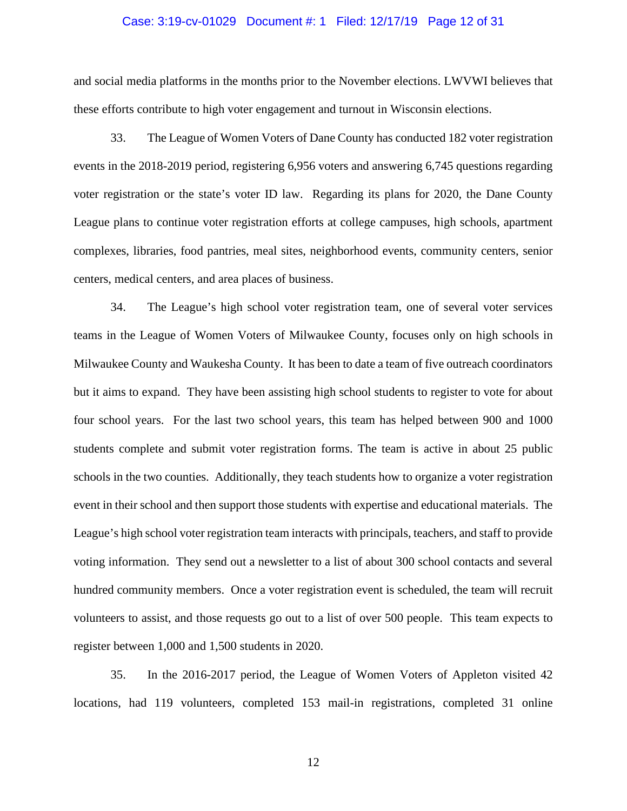## Case: 3:19-cv-01029 Document #: 1 Filed: 12/17/19 Page 12 of 31

and social media platforms in the months prior to the November elections. LWVWI believes that these efforts contribute to high voter engagement and turnout in Wisconsin elections.

33. The League of Women Voters of Dane County has conducted 182 voter registration events in the 2018-2019 period, registering 6,956 voters and answering 6,745 questions regarding voter registration or the state's voter ID law. Regarding its plans for 2020, the Dane County League plans to continue voter registration efforts at college campuses, high schools, apartment complexes, libraries, food pantries, meal sites, neighborhood events, community centers, senior centers, medical centers, and area places of business.

34. The League's high school voter registration team, one of several voter services teams in the League of Women Voters of Milwaukee County, focuses only on high schools in Milwaukee County and Waukesha County. It has been to date a team of five outreach coordinators but it aims to expand. They have been assisting high school students to register to vote for about four school years. For the last two school years, this team has helped between 900 and 1000 students complete and submit voter registration forms. The team is active in about 25 public schools in the two counties. Additionally, they teach students how to organize a voter registration event in their school and then support those students with expertise and educational materials. The League's high school voter registration team interacts with principals, teachers, and staff to provide voting information. They send out a newsletter to a list of about 300 school contacts and several hundred community members. Once a voter registration event is scheduled, the team will recruit volunteers to assist, and those requests go out to a list of over 500 people. This team expects to register between 1,000 and 1,500 students in 2020.

35. In the 2016-2017 period, the League of Women Voters of Appleton visited 42 locations, had 119 volunteers, completed 153 mail-in registrations, completed 31 online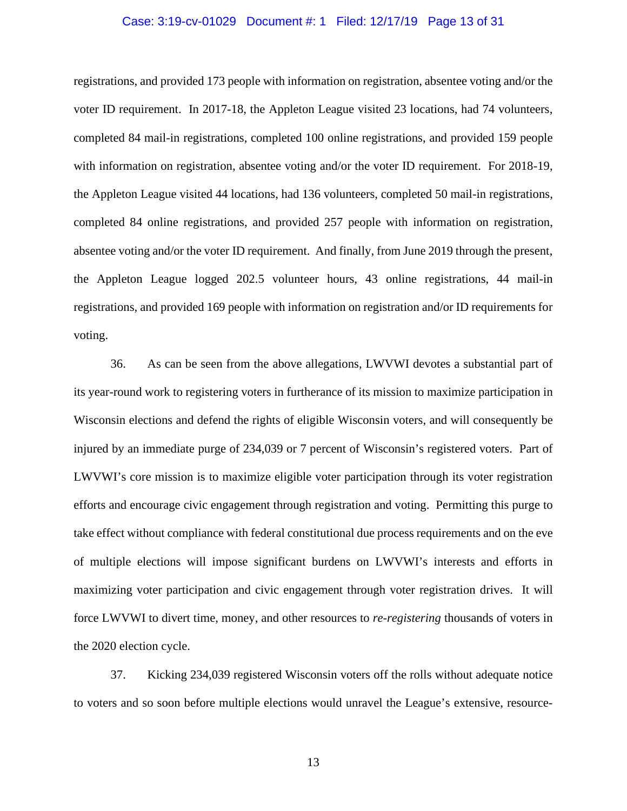#### Case: 3:19-cv-01029 Document #: 1 Filed: 12/17/19 Page 13 of 31

registrations, and provided 173 people with information on registration, absentee voting and/or the voter ID requirement. In 2017-18, the Appleton League visited 23 locations, had 74 volunteers, completed 84 mail-in registrations, completed 100 online registrations, and provided 159 people with information on registration, absentee voting and/or the voter ID requirement. For 2018-19, the Appleton League visited 44 locations, had 136 volunteers, completed 50 mail-in registrations, completed 84 online registrations, and provided 257 people with information on registration, absentee voting and/or the voter ID requirement. And finally, from June 2019 through the present, the Appleton League logged 202.5 volunteer hours, 43 online registrations, 44 mail-in registrations, and provided 169 people with information on registration and/or ID requirements for voting.

36. As can be seen from the above allegations, LWVWI devotes a substantial part of its year-round work to registering voters in furtherance of its mission to maximize participation in Wisconsin elections and defend the rights of eligible Wisconsin voters, and will consequently be injured by an immediate purge of 234,039 or 7 percent of Wisconsin's registered voters. Part of LWVWI's core mission is to maximize eligible voter participation through its voter registration efforts and encourage civic engagement through registration and voting. Permitting this purge to take effect without compliance with federal constitutional due process requirements and on the eve of multiple elections will impose significant burdens on LWVWI's interests and efforts in maximizing voter participation and civic engagement through voter registration drives. It will force LWVWI to divert time, money, and other resources to *re-registering* thousands of voters in the 2020 election cycle.

37. Kicking 234,039 registered Wisconsin voters off the rolls without adequate notice to voters and so soon before multiple elections would unravel the League's extensive, resource-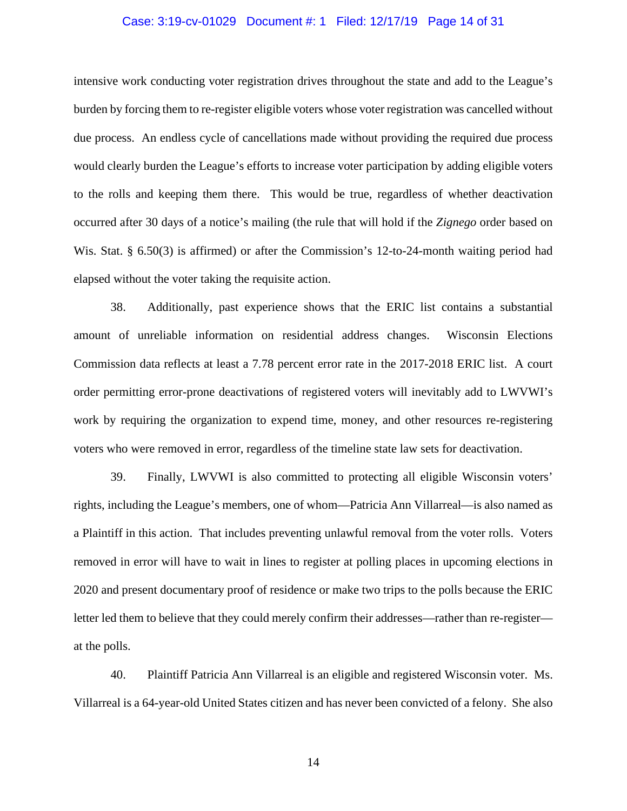#### Case: 3:19-cv-01029 Document #: 1 Filed: 12/17/19 Page 14 of 31

intensive work conducting voter registration drives throughout the state and add to the League's burden by forcing them to re-register eligible voters whose voter registration was cancelled without due process. An endless cycle of cancellations made without providing the required due process would clearly burden the League's efforts to increase voter participation by adding eligible voters to the rolls and keeping them there. This would be true, regardless of whether deactivation occurred after 30 days of a notice's mailing (the rule that will hold if the *Zignego* order based on Wis. Stat. § 6.50(3) is affirmed) or after the Commission's 12-to-24-month waiting period had elapsed without the voter taking the requisite action.

38. Additionally, past experience shows that the ERIC list contains a substantial amount of unreliable information on residential address changes. Wisconsin Elections Commission data reflects at least a 7.78 percent error rate in the 2017-2018 ERIC list. A court order permitting error-prone deactivations of registered voters will inevitably add to LWVWI's work by requiring the organization to expend time, money, and other resources re-registering voters who were removed in error, regardless of the timeline state law sets for deactivation.

39. Finally, LWVWI is also committed to protecting all eligible Wisconsin voters' rights, including the League's members, one of whom—Patricia Ann Villarreal—is also named as a Plaintiff in this action. That includes preventing unlawful removal from the voter rolls. Voters removed in error will have to wait in lines to register at polling places in upcoming elections in 2020 and present documentary proof of residence or make two trips to the polls because the ERIC letter led them to believe that they could merely confirm their addresses—rather than re-register at the polls.

40. Plaintiff Patricia Ann Villarreal is an eligible and registered Wisconsin voter. Ms. Villarreal is a 64-year-old United States citizen and has never been convicted of a felony. She also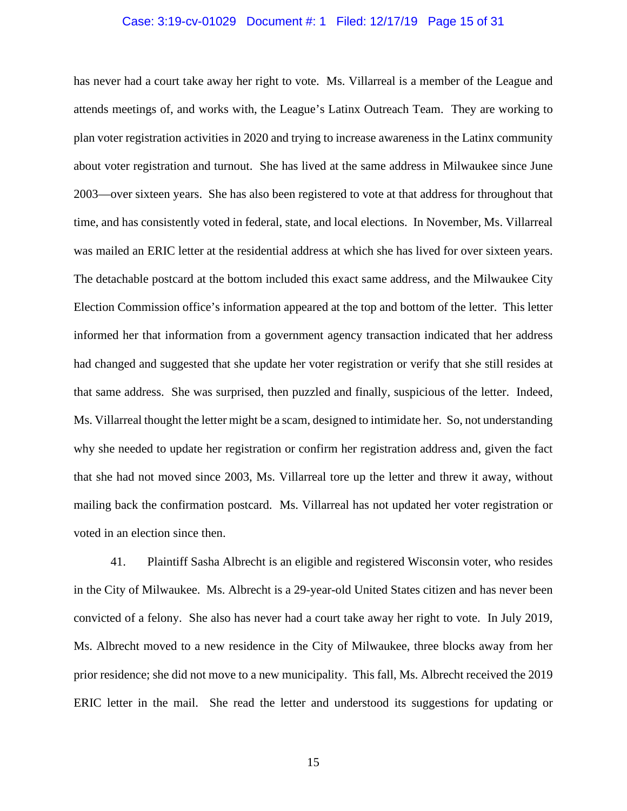## Case: 3:19-cv-01029 Document #: 1 Filed: 12/17/19 Page 15 of 31

has never had a court take away her right to vote. Ms. Villarreal is a member of the League and attends meetings of, and works with, the League's Latinx Outreach Team. They are working to plan voter registration activities in 2020 and trying to increase awareness in the Latinx community about voter registration and turnout. She has lived at the same address in Milwaukee since June 2003—over sixteen years. She has also been registered to vote at that address for throughout that time, and has consistently voted in federal, state, and local elections. In November, Ms. Villarreal was mailed an ERIC letter at the residential address at which she has lived for over sixteen years. The detachable postcard at the bottom included this exact same address, and the Milwaukee City Election Commission office's information appeared at the top and bottom of the letter. This letter informed her that information from a government agency transaction indicated that her address had changed and suggested that she update her voter registration or verify that she still resides at that same address. She was surprised, then puzzled and finally, suspicious of the letter. Indeed, Ms. Villarreal thought the letter might be a scam, designed to intimidate her. So, not understanding why she needed to update her registration or confirm her registration address and, given the fact that she had not moved since 2003, Ms. Villarreal tore up the letter and threw it away, without mailing back the confirmation postcard. Ms. Villarreal has not updated her voter registration or voted in an election since then.

41. Plaintiff Sasha Albrecht is an eligible and registered Wisconsin voter, who resides in the City of Milwaukee. Ms. Albrecht is a 29-year-old United States citizen and has never been convicted of a felony. She also has never had a court take away her right to vote. In July 2019, Ms. Albrecht moved to a new residence in the City of Milwaukee, three blocks away from her prior residence; she did not move to a new municipality. This fall, Ms. Albrecht received the 2019 ERIC letter in the mail. She read the letter and understood its suggestions for updating or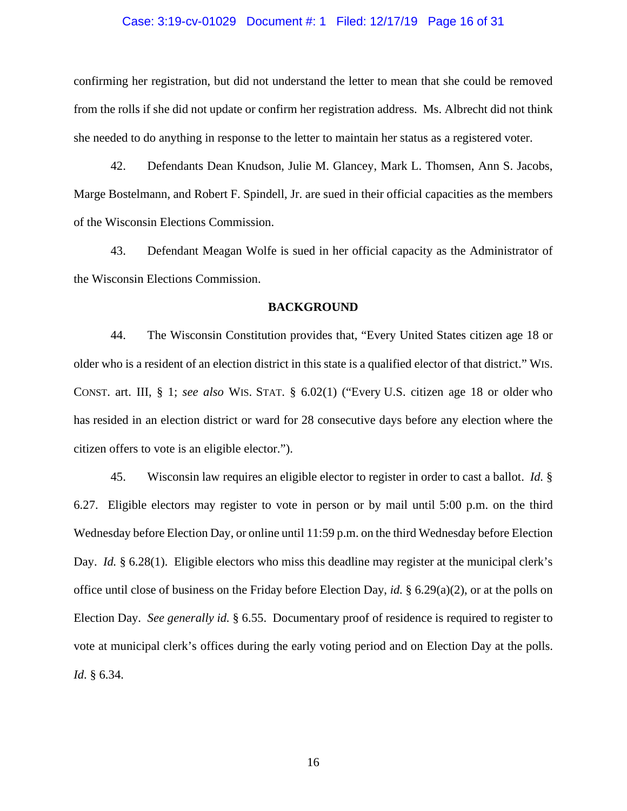#### Case: 3:19-cv-01029 Document #: 1 Filed: 12/17/19 Page 16 of 31

confirming her registration, but did not understand the letter to mean that she could be removed from the rolls if she did not update or confirm her registration address. Ms. Albrecht did not think she needed to do anything in response to the letter to maintain her status as a registered voter.

42. Defendants Dean Knudson, Julie M. Glancey, Mark L. Thomsen, Ann S. Jacobs, Marge Bostelmann, and Robert F. Spindell, Jr. are sued in their official capacities as the members of the Wisconsin Elections Commission.

43. Defendant Meagan Wolfe is sued in her official capacity as the Administrator of the Wisconsin Elections Commission.

#### **BACKGROUND**

44. The Wisconsin Constitution provides that, "Every United States citizen age 18 or older who is a resident of an election district in this state is a qualified elector of that district." WIS. CONST. art. III, § 1; *see also* WIS. STAT. § 6.02(1) ("Every U.S. citizen age 18 or older who has resided in an election district or ward for 28 consecutive days before any election where the citizen offers to vote is an eligible elector.").

45. Wisconsin law requires an eligible elector to register in order to cast a ballot. *Id.* § 6.27. Eligible electors may register to vote in person or by mail until 5:00 p.m. on the third Wednesday before Election Day, or online until 11:59 p.m. on the third Wednesday before Election Day. *Id.* § 6.28(1). Eligible electors who miss this deadline may register at the municipal clerk's office until close of business on the Friday before Election Day, *id.* § 6.29(a)(2), or at the polls on Election Day. *See generally id.* § 6.55. Documentary proof of residence is required to register to vote at municipal clerk's offices during the early voting period and on Election Day at the polls. *Id*. § 6.34.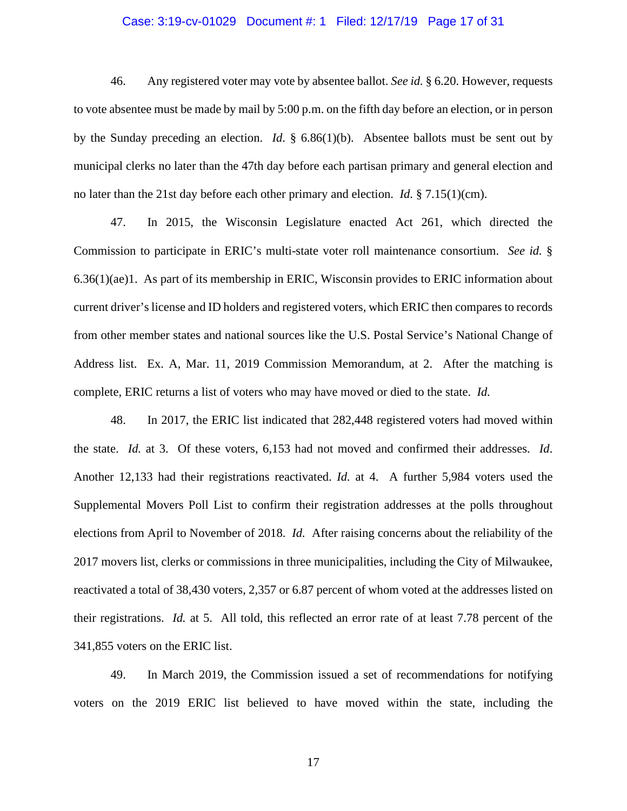#### Case: 3:19-cv-01029 Document #: 1 Filed: 12/17/19 Page 17 of 31

46. Any registered voter may vote by absentee ballot. *See id.* § 6.20. However, requests to vote absentee must be made by mail by 5:00 p.m. on the fifth day before an election, or in person by the Sunday preceding an election. *Id*. § 6.86(1)(b). Absentee ballots must be sent out by municipal clerks no later than the 47th day before each partisan primary and general election and no later than the 21st day before each other primary and election. *Id*. § 7.15(1)(cm).

47. In 2015, the Wisconsin Legislature enacted Act 261, which directed the Commission to participate in ERIC's multi-state voter roll maintenance consortium. *See id.* § 6.36(1)(ae)1. As part of its membership in ERIC, Wisconsin provides to ERIC information about current driver's license and ID holders and registered voters, which ERIC then compares to records from other member states and national sources like the U.S. Postal Service's National Change of Address list. Ex. A, Mar. 11, 2019 Commission Memorandum, at 2. After the matching is complete, ERIC returns a list of voters who may have moved or died to the state. *Id.*

48. In 2017, the ERIC list indicated that 282,448 registered voters had moved within the state. *Id.* at 3. Of these voters, 6,153 had not moved and confirmed their addresses. *Id*. Another 12,133 had their registrations reactivated. *Id.* at 4. A further 5,984 voters used the Supplemental Movers Poll List to confirm their registration addresses at the polls throughout elections from April to November of 2018. *Id.* After raising concerns about the reliability of the 2017 movers list, clerks or commissions in three municipalities, including the City of Milwaukee, reactivated a total of 38,430 voters, 2,357 or 6.87 percent of whom voted at the addresses listed on their registrations. *Id.* at 5. All told, this reflected an error rate of at least 7.78 percent of the 341,855 voters on the ERIC list.

49. In March 2019, the Commission issued a set of recommendations for notifying voters on the 2019 ERIC list believed to have moved within the state, including the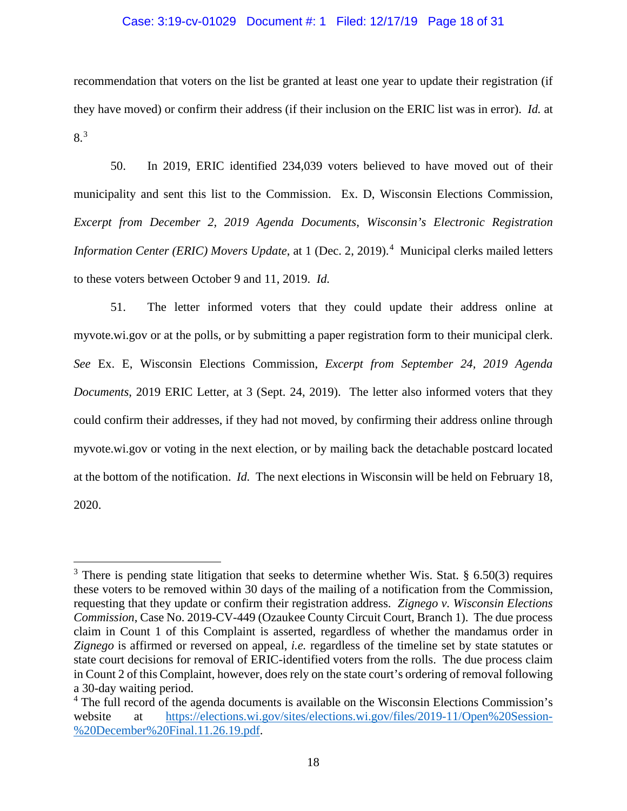#### Case: 3:19-cv-01029 Document #: 1 Filed: 12/17/19 Page 18 of 31

recommendation that voters on the list be granted at least one year to update their registration (if they have moved) or confirm their address (if their inclusion on the ERIC list was in error). *Id.* at 8.[3](#page-17-0)

50. In 2019, ERIC identified 234,039 voters believed to have moved out of their municipality and sent this list to the Commission. Ex. D, Wisconsin Elections Commission, *Excerpt from December 2, 2019 Agenda Documents*, *Wisconsin's Electronic Registration Information Center (ERIC) Movers Update*, at 1 (Dec. 2, 2019).<sup>[4](#page-17-1)</sup> Municipal clerks mailed letters to these voters between October 9 and 11, 2019. *Id.*

51. The letter informed voters that they could update their address online at myvote.wi.gov or at the polls, or by submitting a paper registration form to their municipal clerk. *See* Ex. E, Wisconsin Elections Commission, *Excerpt from September 24, 2019 Agenda Documents*, 2019 ERIC Letter, at 3 (Sept. 24, 2019). The letter also informed voters that they could confirm their addresses, if they had not moved, by confirming their address online through myvote.wi.gov or voting in the next election, or by mailing back the detachable postcard located at the bottom of the notification. *Id.* The next elections in Wisconsin will be held on February 18, 2020.

<span id="page-17-0"></span> $3$  There is pending state litigation that seeks to determine whether Wis. Stat. § 6.50(3) requires these voters to be removed within 30 days of the mailing of a notification from the Commission, requesting that they update or confirm their registration address. *Zignego v. Wisconsin Elections Commission*, Case No. 2019-CV-449 (Ozaukee County Circuit Court, Branch 1). The due process claim in Count 1 of this Complaint is asserted, regardless of whether the mandamus order in *Zignego* is affirmed or reversed on appeal, *i.e.* regardless of the timeline set by state statutes or state court decisions for removal of ERIC-identified voters from the rolls. The due process claim in Count 2 of this Complaint, however, does rely on the state court's ordering of removal following a 30-day waiting period.

<span id="page-17-1"></span><sup>&</sup>lt;sup>4</sup> The full record of the agenda documents is available on the Wisconsin Elections Commission's website at [https://elections.wi.gov/sites/elections.wi.gov/files/2019-11/Open%20Session-](https://elections.wi.gov/sites/elections.wi.gov/files/2019-11/Open%20Session-%20December%20Final.11.26.19.pdf) [%20December%20Final.11.26.19.pdf.](https://elections.wi.gov/sites/elections.wi.gov/files/2019-11/Open%20Session-%20December%20Final.11.26.19.pdf)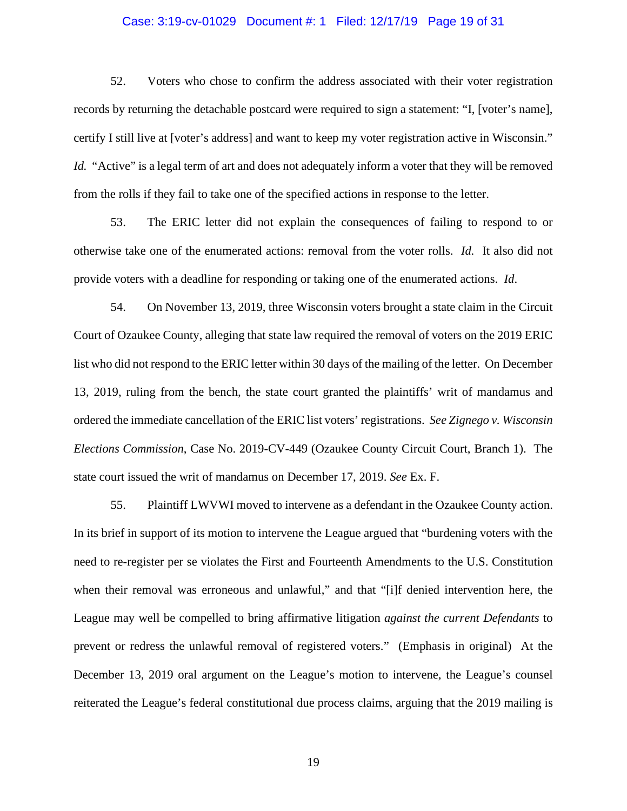# Case: 3:19-cv-01029 Document #: 1 Filed: 12/17/19 Page 19 of 31

52. Voters who chose to confirm the address associated with their voter registration records by returning the detachable postcard were required to sign a statement: "I, [voter's name], certify I still live at [voter's address] and want to keep my voter registration active in Wisconsin." *Id.* "Active" is a legal term of art and does not adequately inform a voter that they will be removed from the rolls if they fail to take one of the specified actions in response to the letter.

53. The ERIC letter did not explain the consequences of failing to respond to or otherwise take one of the enumerated actions: removal from the voter rolls. *Id.* It also did not provide voters with a deadline for responding or taking one of the enumerated actions. *Id*.

54. On November 13, 2019, three Wisconsin voters brought a state claim in the Circuit Court of Ozaukee County, alleging that state law required the removal of voters on the 2019 ERIC list who did not respond to the ERIC letter within 30 days of the mailing of the letter. On December 13, 2019, ruling from the bench, the state court granted the plaintiffs' writ of mandamus and ordered the immediate cancellation of the ERIC list voters' registrations. *See Zignego v. Wisconsin Elections Commission*, Case No. 2019-CV-449 (Ozaukee County Circuit Court, Branch 1). The state court issued the writ of mandamus on December 17, 2019. *See* Ex. F.

55. Plaintiff LWVWI moved to intervene as a defendant in the Ozaukee County action. In its brief in support of its motion to intervene the League argued that "burdening voters with the need to re-register per se violates the First and Fourteenth Amendments to the U.S. Constitution when their removal was erroneous and unlawful," and that "[i]f denied intervention here, the League may well be compelled to bring affirmative litigation *against the current Defendants* to prevent or redress the unlawful removal of registered voters." (Emphasis in original) At the December 13, 2019 oral argument on the League's motion to intervene, the League's counsel reiterated the League's federal constitutional due process claims, arguing that the 2019 mailing is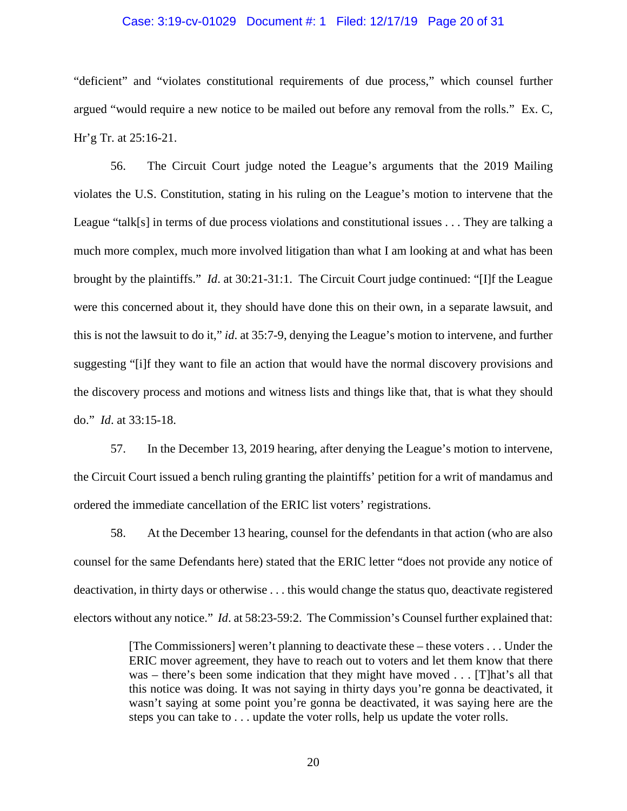#### Case: 3:19-cv-01029 Document #: 1 Filed: 12/17/19 Page 20 of 31

"deficient" and "violates constitutional requirements of due process," which counsel further argued "would require a new notice to be mailed out before any removal from the rolls." Ex. C, Hr'g Tr. at 25:16-21.

56. The Circuit Court judge noted the League's arguments that the 2019 Mailing violates the U.S. Constitution, stating in his ruling on the League's motion to intervene that the League "talk[s] in terms of due process violations and constitutional issues . . . They are talking a much more complex, much more involved litigation than what I am looking at and what has been brought by the plaintiffs." *Id*. at 30:21-31:1. The Circuit Court judge continued: "[I]f the League were this concerned about it, they should have done this on their own, in a separate lawsuit, and this is not the lawsuit to do it," *id*. at 35:7-9, denying the League's motion to intervene, and further suggesting "[i]f they want to file an action that would have the normal discovery provisions and the discovery process and motions and witness lists and things like that, that is what they should do." *Id*. at 33:15-18.

57. In the December 13, 2019 hearing, after denying the League's motion to intervene, the Circuit Court issued a bench ruling granting the plaintiffs' petition for a writ of mandamus and ordered the immediate cancellation of the ERIC list voters' registrations.

58. At the December 13 hearing, counsel for the defendants in that action (who are also counsel for the same Defendants here) stated that the ERIC letter "does not provide any notice of deactivation, in thirty days or otherwise . . . this would change the status quo, deactivate registered electors without any notice." *Id*. at 58:23-59:2. The Commission's Counsel further explained that:

> [The Commissioners] weren't planning to deactivate these – these voters . . . Under the ERIC mover agreement, they have to reach out to voters and let them know that there was – there's been some indication that they might have moved . . . [T]hat's all that this notice was doing. It was not saying in thirty days you're gonna be deactivated, it wasn't saying at some point you're gonna be deactivated, it was saying here are the steps you can take to . . . update the voter rolls, help us update the voter rolls.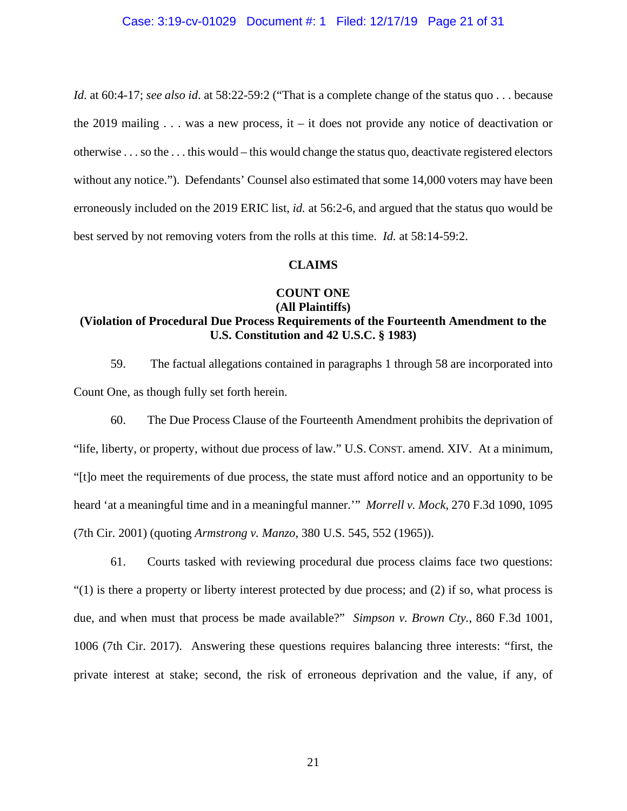*Id.* at 60:4-17; *see also id.* at 58:22-59:2 ("That is a complete change of the status quo . . . because the 2019 mailing  $\dots$  was a new process, it – it does not provide any notice of deactivation or otherwise . . . so the . . . this would – this would change the status quo, deactivate registered electors without any notice."). Defendants' Counsel also estimated that some 14,000 voters may have been erroneously included on the 2019 ERIC list, *id.* at 56:2-6, and argued that the status quo would be best served by not removing voters from the rolls at this time. *Id.* at 58:14-59:2.

#### **CLAIMS**

# **COUNT ONE**

# **(All Plaintiffs)**

# **(Violation of Procedural Due Process Requirements of the Fourteenth Amendment to the U.S. Constitution and 42 U.S.C. § 1983)**

59. The factual allegations contained in paragraphs 1 through 58 are incorporated into Count One, as though fully set forth herein.

60. The Due Process Clause of the Fourteenth Amendment prohibits the deprivation of "life, liberty, or property, without due process of law." U.S. CONST. amend. XIV. At a minimum, "[t]o meet the requirements of due process, the state must afford notice and an opportunity to be heard 'at a meaningful time and in a meaningful manner.'" *Morrell v. Mock*, 270 F.3d 1090, 1095 (7th Cir. 2001) (quoting *Armstrong v. Manzo*, 380 U.S. 545, 552 (1965)).

61. Courts tasked with reviewing procedural due process claims face two questions:  $(1)$  is there a property or liberty interest protected by due process; and (2) if so, what process is due, and when must that process be made available?" *Simpson v. Brown Cty.*, 860 F.3d 1001, 1006 (7th Cir. 2017). Answering these questions requires balancing three interests: "first, the private interest at stake; second, the risk of erroneous deprivation and the value, if any, of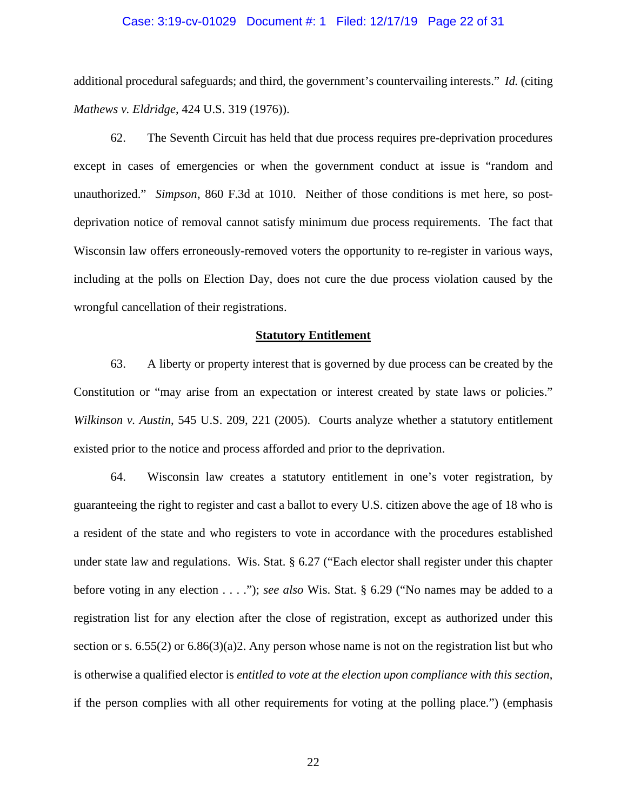# Case: 3:19-cv-01029 Document #: 1 Filed: 12/17/19 Page 22 of 31

additional procedural safeguards; and third, the government's countervailing interests." *Id.* (citing *Mathews v. Eldridge*, 424 U.S. 319 (1976)).

62. The Seventh Circuit has held that due process requires pre-deprivation procedures except in cases of emergencies or when the government conduct at issue is "random and unauthorized." *Simpson*, 860 F.3d at 1010. Neither of those conditions is met here, so postdeprivation notice of removal cannot satisfy minimum due process requirements. The fact that Wisconsin law offers erroneously-removed voters the opportunity to re-register in various ways, including at the polls on Election Day, does not cure the due process violation caused by the wrongful cancellation of their registrations.

#### **Statutory Entitlement**

63. A liberty or property interest that is governed by due process can be created by the Constitution or "may arise from an expectation or interest created by state laws or policies." *Wilkinson v. Austin*, 545 U.S. 209, 221 (2005). Courts analyze whether a statutory entitlement existed prior to the notice and process afforded and prior to the deprivation.

64. Wisconsin law creates a statutory entitlement in one's voter registration, by guaranteeing the right to register and cast a ballot to every U.S. citizen above the age of 18 who is a resident of the state and who registers to vote in accordance with the procedures established under state law and regulations. Wis. Stat. § 6.27 ("Each elector shall register under this chapter before voting in any election . . . ."); *see also* Wis. Stat. § 6.29 ("No names may be added to a registration list for any election after the close of registration, except as authorized under this section or s.  $6.55(2)$  or  $6.86(3)(a)2$ . Any person whose name is not on the registration list but who is otherwise a qualified elector is *entitled to vote at the election upon compliance with this section*, if the person complies with all other requirements for voting at the polling place.") (emphasis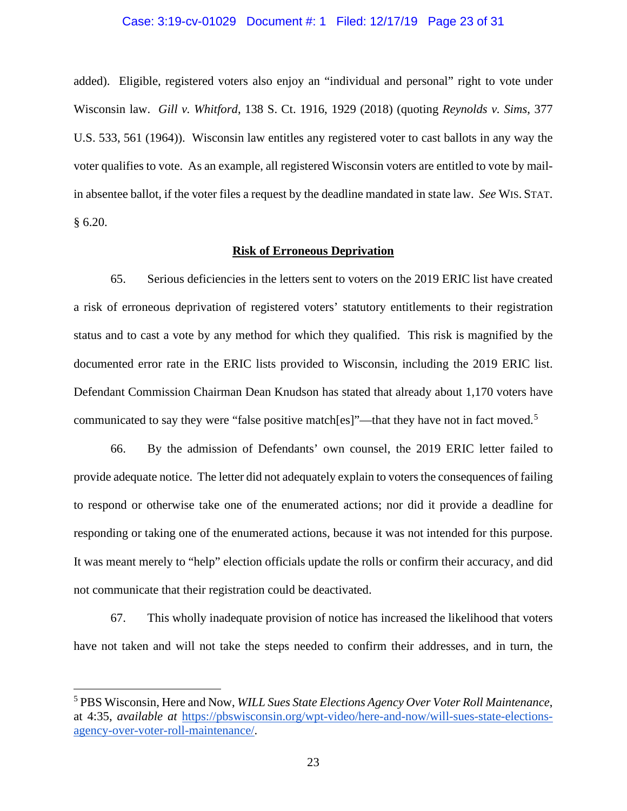# Case: 3:19-cv-01029 Document #: 1 Filed: 12/17/19 Page 23 of 31

added). Eligible, registered voters also enjoy an "individual and personal" right to vote under Wisconsin law. *Gill v. Whitford*, 138 S. Ct. 1916, 1929 (2018) (quoting *Reynolds v. Sims*, 377 U.S. 533, 561 (1964)). Wisconsin law entitles any registered voter to cast ballots in any way the voter qualifies to vote. As an example, all registered Wisconsin voters are entitled to vote by mailin absentee ballot, if the voter files a request by the deadline mandated in state law. *See* WIS. STAT. § 6.20.

### **Risk of Erroneous Deprivation**

65. Serious deficiencies in the letters sent to voters on the 2019 ERIC list have created a risk of erroneous deprivation of registered voters' statutory entitlements to their registration status and to cast a vote by any method for which they qualified. This risk is magnified by the documented error rate in the ERIC lists provided to Wisconsin, including the 2019 ERIC list. Defendant Commission Chairman Dean Knudson has stated that already about 1,170 voters have communicated to say they were "false positive match[es]"—that they have not in fact moved.<sup>[5](#page-22-0)</sup>

66. By the admission of Defendants' own counsel, the 2019 ERIC letter failed to provide adequate notice. The letter did not adequately explain to voters the consequences of failing to respond or otherwise take one of the enumerated actions; nor did it provide a deadline for responding or taking one of the enumerated actions, because it was not intended for this purpose. It was meant merely to "help" election officials update the rolls or confirm their accuracy, and did not communicate that their registration could be deactivated.

67. This wholly inadequate provision of notice has increased the likelihood that voters have not taken and will not take the steps needed to confirm their addresses, and in turn, the

<span id="page-22-0"></span><sup>5</sup> PBS Wisconsin, Here and Now, *WILL Sues State Elections Agency Over Voter Roll Maintenance*, at 4:35, *available at* [https://pbswisconsin.org/wpt-video/here-and-now/will-sues-state-elections](https://pbswisconsin.org/wpt-video/here-and-now/will-sues-state-elections-agency-over-voter-roll-maintenance/)[agency-over-voter-roll-maintenance/.](https://pbswisconsin.org/wpt-video/here-and-now/will-sues-state-elections-agency-over-voter-roll-maintenance/)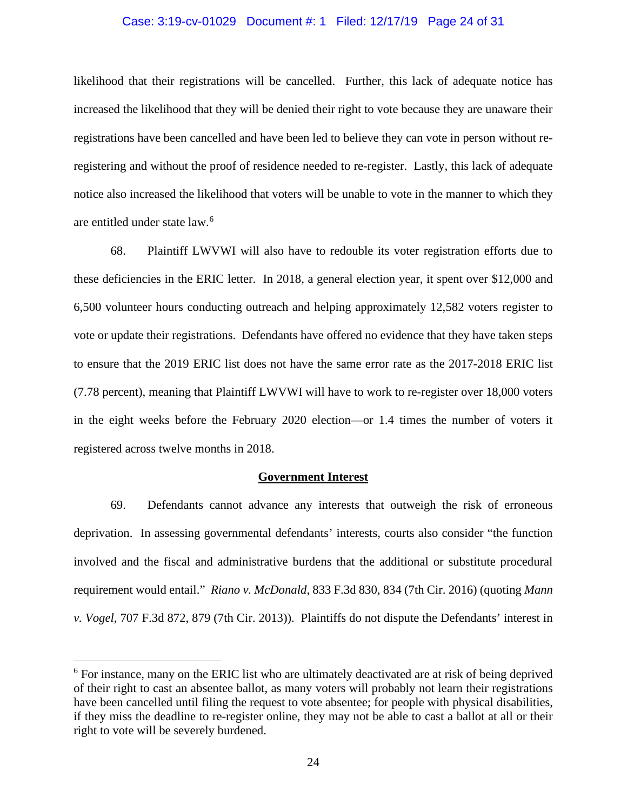## Case: 3:19-cv-01029 Document #: 1 Filed: 12/17/19 Page 24 of 31

likelihood that their registrations will be cancelled. Further, this lack of adequate notice has increased the likelihood that they will be denied their right to vote because they are unaware their registrations have been cancelled and have been led to believe they can vote in person without reregistering and without the proof of residence needed to re-register. Lastly, this lack of adequate notice also increased the likelihood that voters will be unable to vote in the manner to which they are entitled under state law.[6](#page-23-0)

68. Plaintiff LWVWI will also have to redouble its voter registration efforts due to these deficiencies in the ERIC letter. In 2018, a general election year, it spent over \$12,000 and 6,500 volunteer hours conducting outreach and helping approximately 12,582 voters register to vote or update their registrations. Defendants have offered no evidence that they have taken steps to ensure that the 2019 ERIC list does not have the same error rate as the 2017-2018 ERIC list (7.78 percent), meaning that Plaintiff LWVWI will have to work to re-register over 18,000 voters in the eight weeks before the February 2020 election—or 1.4 times the number of voters it registered across twelve months in 2018.

#### **Government Interest**

69. Defendants cannot advance any interests that outweigh the risk of erroneous deprivation. In assessing governmental defendants' interests, courts also consider "the function involved and the fiscal and administrative burdens that the additional or substitute procedural requirement would entail." *Riano v. McDonald*, 833 F.3d 830, 834 (7th Cir. 2016) (quoting *Mann v. Vogel*, 707 F.3d 872, 879 (7th Cir. 2013)). Plaintiffs do not dispute the Defendants' interest in

<span id="page-23-0"></span><sup>&</sup>lt;sup>6</sup> For instance, many on the ERIC list who are ultimately deactivated are at risk of being deprived of their right to cast an absentee ballot, as many voters will probably not learn their registrations have been cancelled until filing the request to vote absentee; for people with physical disabilities, if they miss the deadline to re-register online, they may not be able to cast a ballot at all or their right to vote will be severely burdened.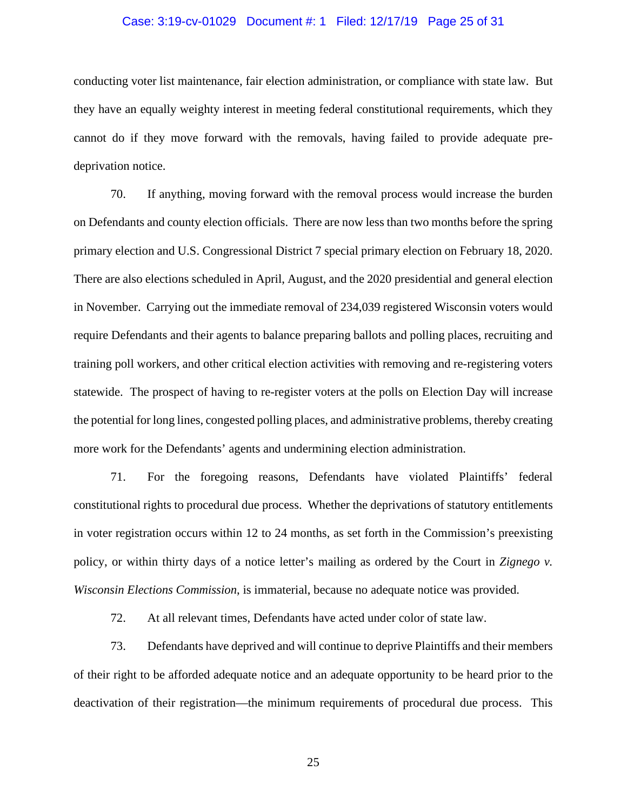# Case: 3:19-cv-01029 Document #: 1 Filed: 12/17/19 Page 25 of 31

conducting voter list maintenance, fair election administration, or compliance with state law. But they have an equally weighty interest in meeting federal constitutional requirements, which they cannot do if they move forward with the removals, having failed to provide adequate predeprivation notice.

70. If anything, moving forward with the removal process would increase the burden on Defendants and county election officials. There are now less than two months before the spring primary election and U.S. Congressional District 7 special primary election on February 18, 2020. There are also elections scheduled in April, August, and the 2020 presidential and general election in November. Carrying out the immediate removal of 234,039 registered Wisconsin voters would require Defendants and their agents to balance preparing ballots and polling places, recruiting and training poll workers, and other critical election activities with removing and re-registering voters statewide. The prospect of having to re-register voters at the polls on Election Day will increase the potential for long lines, congested polling places, and administrative problems, thereby creating more work for the Defendants' agents and undermining election administration.

71. For the foregoing reasons, Defendants have violated Plaintiffs' federal constitutional rights to procedural due process. Whether the deprivations of statutory entitlements in voter registration occurs within 12 to 24 months, as set forth in the Commission's preexisting policy, or within thirty days of a notice letter's mailing as ordered by the Court in *Zignego v. Wisconsin Elections Commission*, is immaterial, because no adequate notice was provided.

72. At all relevant times, Defendants have acted under color of state law.

73. Defendants have deprived and will continue to deprive Plaintiffs and their members of their right to be afforded adequate notice and an adequate opportunity to be heard prior to the deactivation of their registration—the minimum requirements of procedural due process. This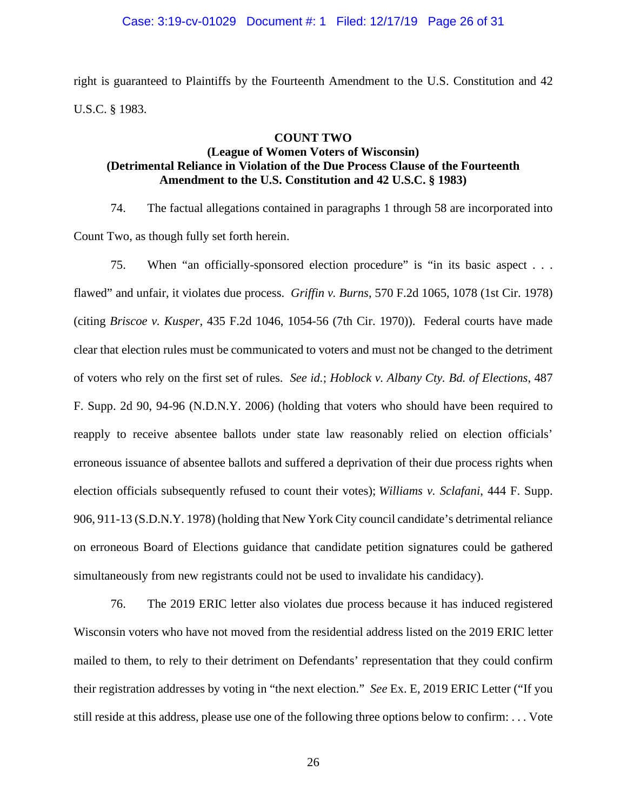right is guaranteed to Plaintiffs by the Fourteenth Amendment to the U.S. Constitution and 42 U.S.C. § 1983.

#### **COUNT TWO**

# **(League of Women Voters of Wisconsin) (Detrimental Reliance in Violation of the Due Process Clause of the Fourteenth Amendment to the U.S. Constitution and 42 U.S.C. § 1983)**

74. The factual allegations contained in paragraphs 1 through 58 are incorporated into Count Two, as though fully set forth herein.

75. When "an officially-sponsored election procedure" is "in its basic aspect . . . flawed" and unfair, it violates due process. *Griffin v. Burns*, 570 F.2d 1065, 1078 (1st Cir. 1978) (citing *Briscoe v. Kusper*, 435 F.2d 1046, 1054-56 (7th Cir. 1970)). Federal courts have made clear that election rules must be communicated to voters and must not be changed to the detriment of voters who rely on the first set of rules. *See id.*; *Hoblock v. Albany Cty. Bd. of Elections*, 487 F. Supp. 2d 90, 94-96 (N.D.N.Y. 2006) (holding that voters who should have been required to reapply to receive absentee ballots under state law reasonably relied on election officials' erroneous issuance of absentee ballots and suffered a deprivation of their due process rights when election officials subsequently refused to count their votes); *Williams v. Sclafani*, 444 F. Supp. 906, 911-13 (S.D.N.Y. 1978) (holding that New York City council candidate's detrimental reliance on erroneous Board of Elections guidance that candidate petition signatures could be gathered simultaneously from new registrants could not be used to invalidate his candidacy).

76. The 2019 ERIC letter also violates due process because it has induced registered Wisconsin voters who have not moved from the residential address listed on the 2019 ERIC letter mailed to them, to rely to their detriment on Defendants' representation that they could confirm their registration addresses by voting in "the next election." *See* Ex. E, 2019 ERIC Letter ("If you still reside at this address, please use one of the following three options below to confirm: . . . Vote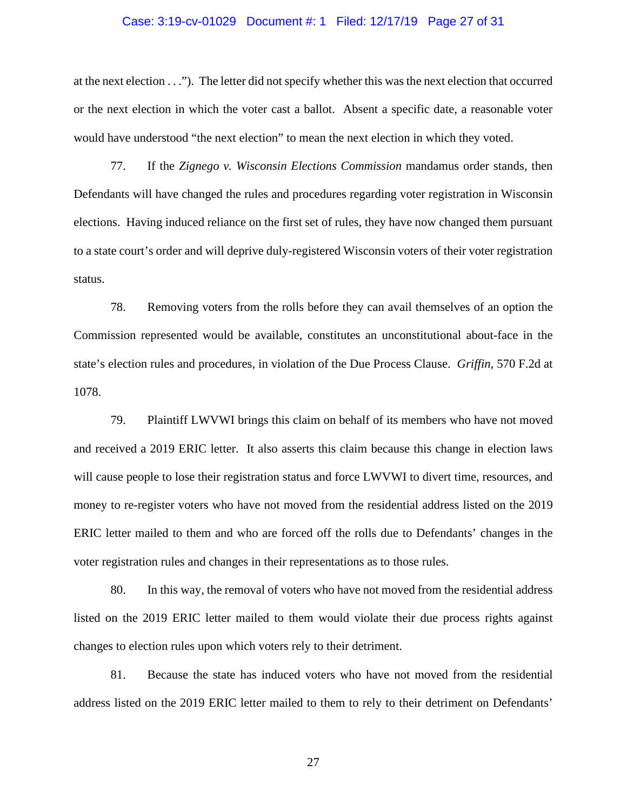# Case: 3:19-cv-01029 Document #: 1 Filed: 12/17/19 Page 27 of 31

at the next election . . ."). The letter did not specify whether this was the next election that occurred or the next election in which the voter cast a ballot. Absent a specific date, a reasonable voter would have understood "the next election" to mean the next election in which they voted.

77. If the *Zignego v. Wisconsin Elections Commission* mandamus order stands, then Defendants will have changed the rules and procedures regarding voter registration in Wisconsin elections. Having induced reliance on the first set of rules, they have now changed them pursuant to a state court's order and will deprive duly-registered Wisconsin voters of their voter registration status.

78. Removing voters from the rolls before they can avail themselves of an option the Commission represented would be available, constitutes an unconstitutional about-face in the state's election rules and procedures, in violation of the Due Process Clause. *Griffin*, 570 F.2d at 1078.

79. Plaintiff LWVWI brings this claim on behalf of its members who have not moved and received a 2019 ERIC letter. It also asserts this claim because this change in election laws will cause people to lose their registration status and force LWVWI to divert time, resources, and money to re-register voters who have not moved from the residential address listed on the 2019 ERIC letter mailed to them and who are forced off the rolls due to Defendants' changes in the voter registration rules and changes in their representations as to those rules.

80. In this way, the removal of voters who have not moved from the residential address listed on the 2019 ERIC letter mailed to them would violate their due process rights against changes to election rules upon which voters rely to their detriment.

81. Because the state has induced voters who have not moved from the residential address listed on the 2019 ERIC letter mailed to them to rely to their detriment on Defendants'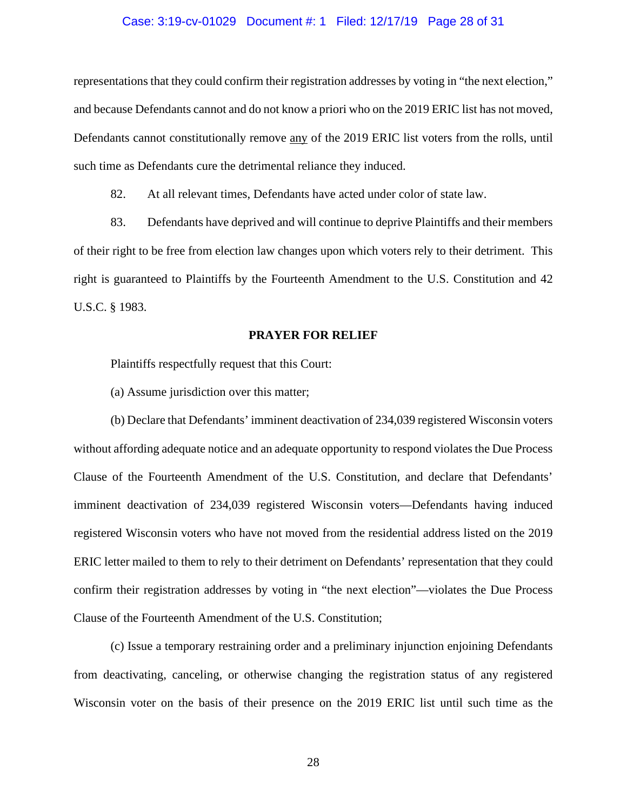## Case: 3:19-cv-01029 Document #: 1 Filed: 12/17/19 Page 28 of 31

representations that they could confirm their registration addresses by voting in "the next election," and because Defendants cannot and do not know a priori who on the 2019 ERIC list has not moved, Defendants cannot constitutionally remove any of the 2019 ERIC list voters from the rolls, until such time as Defendants cure the detrimental reliance they induced.

82. At all relevant times, Defendants have acted under color of state law.

83. Defendants have deprived and will continue to deprive Plaintiffs and their members of their right to be free from election law changes upon which voters rely to their detriment. This right is guaranteed to Plaintiffs by the Fourteenth Amendment to the U.S. Constitution and 42 U.S.C. § 1983.

#### **PRAYER FOR RELIEF**

Plaintiffs respectfully request that this Court:

(a) Assume jurisdiction over this matter;

(b) Declare that Defendants' imminent deactivation of 234,039 registered Wisconsin voters without affording adequate notice and an adequate opportunity to respond violates the Due Process Clause of the Fourteenth Amendment of the U.S. Constitution, and declare that Defendants' imminent deactivation of 234,039 registered Wisconsin voters—Defendants having induced registered Wisconsin voters who have not moved from the residential address listed on the 2019 ERIC letter mailed to them to rely to their detriment on Defendants' representation that they could confirm their registration addresses by voting in "the next election"—violates the Due Process Clause of the Fourteenth Amendment of the U.S. Constitution;

(c) Issue a temporary restraining order and a preliminary injunction enjoining Defendants from deactivating, canceling, or otherwise changing the registration status of any registered Wisconsin voter on the basis of their presence on the 2019 ERIC list until such time as the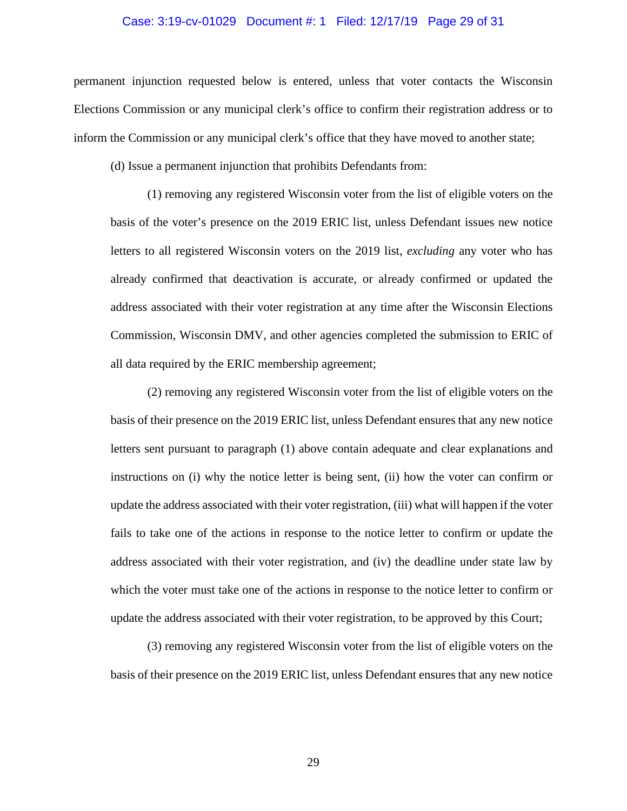## Case: 3:19-cv-01029 Document #: 1 Filed: 12/17/19 Page 29 of 31

permanent injunction requested below is entered, unless that voter contacts the Wisconsin Elections Commission or any municipal clerk's office to confirm their registration address or to inform the Commission or any municipal clerk's office that they have moved to another state;

(d) Issue a permanent injunction that prohibits Defendants from:

(1) removing any registered Wisconsin voter from the list of eligible voters on the basis of the voter's presence on the 2019 ERIC list, unless Defendant issues new notice letters to all registered Wisconsin voters on the 2019 list, *excluding* any voter who has already confirmed that deactivation is accurate, or already confirmed or updated the address associated with their voter registration at any time after the Wisconsin Elections Commission, Wisconsin DMV, and other agencies completed the submission to ERIC of all data required by the ERIC membership agreement;

(2) removing any registered Wisconsin voter from the list of eligible voters on the basis of their presence on the 2019 ERIC list, unless Defendant ensures that any new notice letters sent pursuant to paragraph (1) above contain adequate and clear explanations and instructions on (i) why the notice letter is being sent, (ii) how the voter can confirm or update the address associated with their voter registration, (iii) what will happen if the voter fails to take one of the actions in response to the notice letter to confirm or update the address associated with their voter registration, and (iv) the deadline under state law by which the voter must take one of the actions in response to the notice letter to confirm or update the address associated with their voter registration, to be approved by this Court;

(3) removing any registered Wisconsin voter from the list of eligible voters on the basis of their presence on the 2019 ERIC list, unless Defendant ensures that any new notice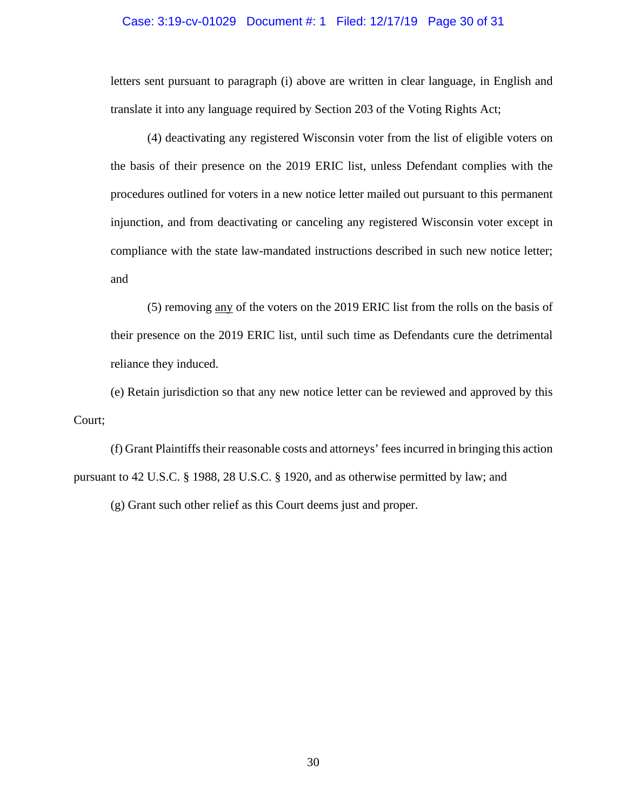#### Case: 3:19-cv-01029 Document #: 1 Filed: 12/17/19 Page 30 of 31

letters sent pursuant to paragraph (i) above are written in clear language, in English and translate it into any language required by Section 203 of the Voting Rights Act;

(4) deactivating any registered Wisconsin voter from the list of eligible voters on the basis of their presence on the 2019 ERIC list, unless Defendant complies with the procedures outlined for voters in a new notice letter mailed out pursuant to this permanent injunction, and from deactivating or canceling any registered Wisconsin voter except in compliance with the state law-mandated instructions described in such new notice letter; and

(5) removing any of the voters on the 2019 ERIC list from the rolls on the basis of their presence on the 2019 ERIC list, until such time as Defendants cure the detrimental reliance they induced.

(e) Retain jurisdiction so that any new notice letter can be reviewed and approved by this Court;

(f) Grant Plaintiffs their reasonable costs and attorneys' fees incurred in bringing this action pursuant to 42 U.S.C. § 1988, 28 U.S.C. § 1920, and as otherwise permitted by law; and

(g) Grant such other relief as this Court deems just and proper.